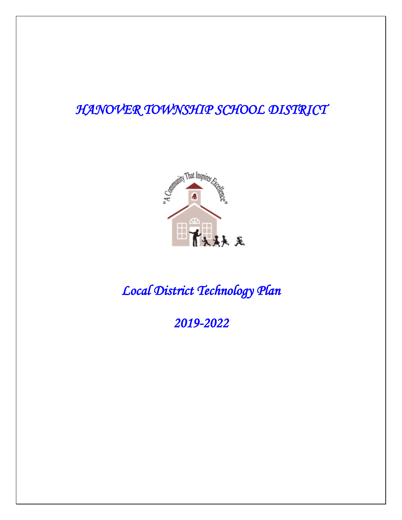### *HANOVER TOWNSHIP SCHOOL DISTRICT*



## *Local District Technology Plan*

*2019-2022*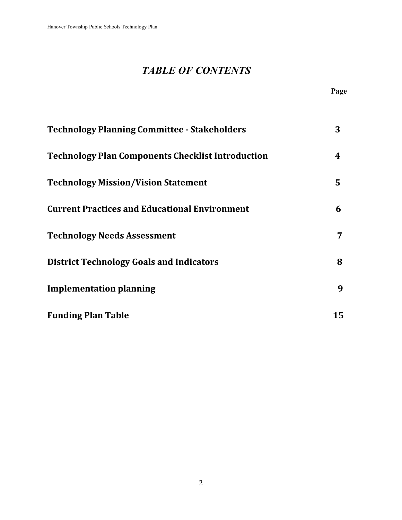### *TABLE OF CONTENTS*

|                                                          | Page |
|----------------------------------------------------------|------|
| <b>Technology Planning Committee - Stakeholders</b>      | 3    |
| <b>Technology Plan Components Checklist Introduction</b> | 4    |
| <b>Technology Mission/Vision Statement</b>               | 5    |
| <b>Current Practices and Educational Environment</b>     | 6    |
| <b>Technology Needs Assessment</b>                       | 7    |
| <b>District Technology Goals and Indicators</b>          | 8    |
| <b>Implementation planning</b>                           | 9    |
| <b>Funding Plan Table</b>                                | 15   |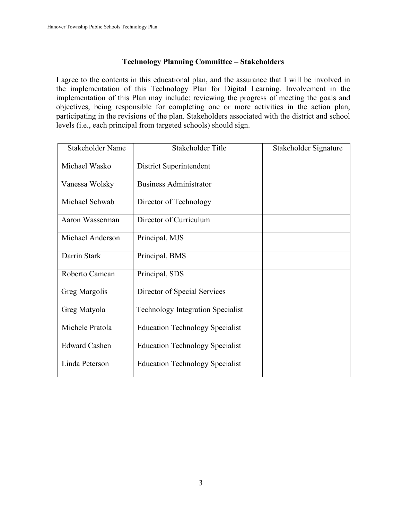#### **Technology Planning Committee – Stakeholders**

I agree to the contents in this educational plan, and the assurance that I will be involved in the implementation of this Technology Plan for Digital Learning. Involvement in the implementation of this Plan may include: reviewing the progress of meeting the goals and objectives, being responsible for completing one or more activities in the action plan, participating in the revisions of the plan. Stakeholders associated with the district and school levels (i.e., each principal from targeted schools) should sign.

| Stakeholder Name     | Stakeholder Title                        | Stakeholder Signature |
|----------------------|------------------------------------------|-----------------------|
| Michael Wasko        | District Superintendent                  |                       |
| Vanessa Wolsky       | <b>Business Administrator</b>            |                       |
| Michael Schwab       | Director of Technology                   |                       |
| Aaron Wasserman      | Director of Curriculum                   |                       |
| Michael Anderson     | Principal, MJS                           |                       |
| Darrin Stark         | Principal, BMS                           |                       |
| Roberto Camean       | Principal, SDS                           |                       |
| Greg Margolis        | Director of Special Services             |                       |
| Greg Matyola         | <b>Technology Integration Specialist</b> |                       |
| Michele Pratola      | <b>Education Technology Specialist</b>   |                       |
| <b>Edward Cashen</b> | <b>Education Technology Specialist</b>   |                       |
| Linda Peterson       | <b>Education Technology Specialist</b>   |                       |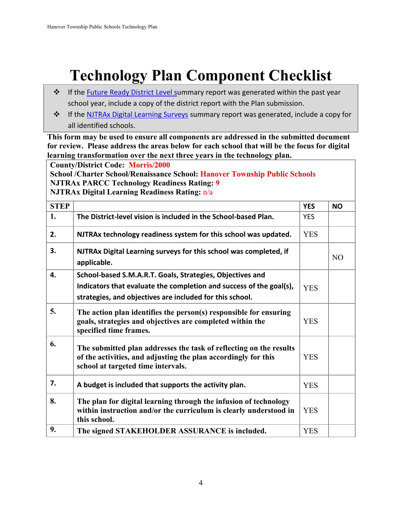# **Technology Plan Component Checklist**

- ❖ If the [Future Ready District Level su](http://futureready.org/about-the-effort/dashboard/)mmary report was generated within the past year school year, include a copy of the district report with the Plan submission.
- ❖ If the [NJTRAx Digital Learning Surveys](http://njdigitallearning.org/topics/getting-started/) summary report was generated, include a copy for all identified schools.

**This form may be used to ensure all components are addressed in the submitted document for review. Please address the areas below for each school that will be the focus for digital learning transformation over the next three years in the technology plan.** 

**County/District Code: Morris/2000 School /Charter School/Renaissance School: Hanover Township Public Schools NJTRAx PARCC Technology Readiness Rating: 9 NJTRAx Digital Learning Readiness Rating:** n/a

| <b>STEP</b> |                                                                                                                                                                            | <b>YES</b> | <b>NO</b>      |
|-------------|----------------------------------------------------------------------------------------------------------------------------------------------------------------------------|------------|----------------|
| 1.          | The District-level vision is included in the School-based Plan.                                                                                                            | <b>YES</b> |                |
| 2.          | NJTRAx technology readiness system for this school was updated.                                                                                                            | <b>YES</b> |                |
| 3.          | NJTRAx Digital Learning surveys for this school was completed, if<br>applicable.                                                                                           |            | N <sub>O</sub> |
| 4.          | School-based S.M.A.R.T. Goals, Strategies, Objectives and                                                                                                                  |            |                |
|             | Indicators that evaluate the completion and success of the goal(s),                                                                                                        | <b>YES</b> |                |
|             | strategies, and objectives are included for this school.                                                                                                                   |            |                |
| 5.          | The action plan identifies the person(s) responsible for ensuring<br>goals, strategies and objectives are completed within the<br>specified time frames.                   | <b>YES</b> |                |
| 6.          | The submitted plan addresses the task of reflecting on the results<br>of the activities, and adjusting the plan accordingly for this<br>school at targeted time intervals. | <b>YES</b> |                |
| 7.          | A budget is included that supports the activity plan.                                                                                                                      | <b>YES</b> |                |
| 8.          | The plan for digital learning through the infusion of technology<br>within instruction and/or the curriculum is clearly understood in<br>this school.                      | <b>YES</b> |                |
| 9.          | The signed STAKEHOLDER ASSURANCE is included.                                                                                                                              | <b>YES</b> |                |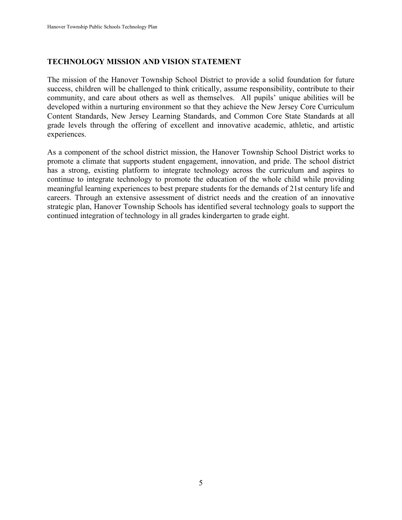#### **TECHNOLOGY MISSION AND VISION STATEMENT**

The mission of the Hanover Township School District to provide a solid foundation for future success, children will be challenged to think critically, assume responsibility, contribute to their community, and care about others as well as themselves. All pupils' unique abilities will be developed within a nurturing environment so that they achieve the New Jersey Core Curriculum Content Standards, New Jersey Learning Standards, and Common Core State Standards at all grade levels through the offering of excellent and innovative academic, athletic, and artistic experiences.

As a component of the school district mission, the Hanover Township School District works to promote a climate that supports student engagement, innovation, and pride. The school district has a strong, existing platform to integrate technology across the curriculum and aspires to continue to integrate technology to promote the education of the whole child while providing meaningful learning experiences to best prepare students for the demands of 21st century life and careers. Through an extensive assessment of district needs and the creation of an innovative strategic plan, Hanover Township Schools has identified several technology goals to support the continued integration of technology in all grades kindergarten to grade eight.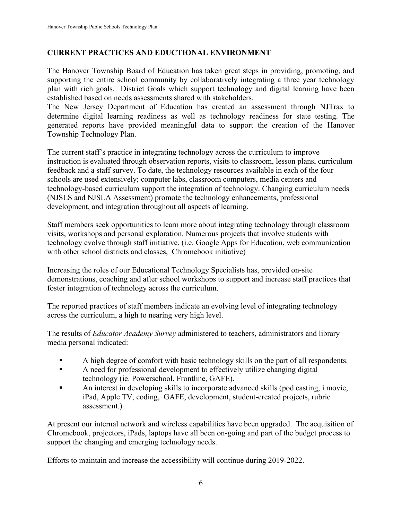#### **CURRENT PRACTICES AND EDUCTIONAL ENVIRONMENT**

The Hanover Township Board of Education has taken great steps in providing, promoting, and supporting the entire school community by collaboratively integrating a three year technology plan with rich goals. District Goals which support technology and digital learning have been established based on needs assessments shared with stakeholders.

The New Jersey Department of Education has created an assessment through NJTrax to determine digital learning readiness as well as technology readiness for state testing. The generated reports have provided meaningful data to support the creation of the Hanover Township Technology Plan.

The current staff's practice in integrating technology across the curriculum to improve instruction is evaluated through observation reports, visits to classroom, lesson plans, curriculum feedback and a staff survey. To date, the technology resources available in each of the four schools are used extensively; computer labs, classroom computers, media centers and technology-based curriculum support the integration of technology. Changing curriculum needs (NJSLS and NJSLA Assessment) promote the technology enhancements, professional development, and integration throughout all aspects of learning.

Staff members seek opportunities to learn more about integrating technology through classroom visits, workshops and personal exploration. Numerous projects that involve students with technology evolve through staff initiative. (i.e. Google Apps for Education, web communication with other school districts and classes, Chromebook initiative)

Increasing the roles of our Educational Technology Specialists has, provided on-site demonstrations, coaching and after school workshops to support and increase staff practices that foster integration of technology across the curriculum.

The reported practices of staff members indicate an evolving level of integrating technology across the curriculum, a high to nearing very high level.

The results of *Educator Academy Survey* administered to teachers, administrators and library media personal indicated:

- A high degree of comfort with basic technology skills on the part of all respondents.
- A need for professional development to effectively utilize changing digital technology (ie. Powerschool, Frontline, GAFE).
- An interest in developing skills to incorporate advanced skills (pod casting, i movie, iPad, Apple TV, coding, GAFE, development, student-created projects, rubric assessment.)

At present our internal network and wireless capabilities have been upgraded. The acquisition of Chromebook, projectors, iPads, laptops have all been on-going and part of the budget process to support the changing and emerging technology needs.

Efforts to maintain and increase the accessibility will continue during 2019-2022.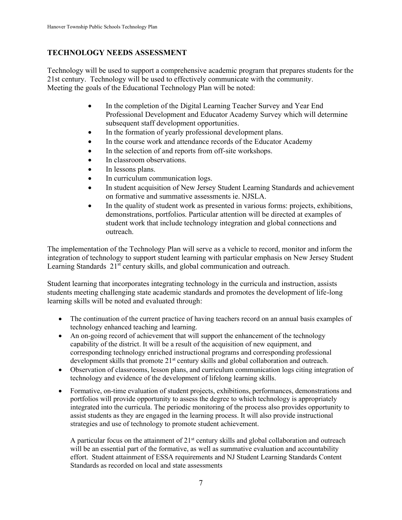#### **TECHNOLOGY NEEDS ASSESSMENT**

Technology will be used to support a comprehensive academic program that prepares students for the 21st century. Technology will be used to effectively communicate with the community. Meeting the goals of the Educational Technology Plan will be noted:

- In the completion of the Digital Learning Teacher Survey and Year End Professional Development and Educator Academy Survey which will determine subsequent staff development opportunities.
- In the formation of yearly professional development plans.
- In the course work and attendance records of the Educator Academy
- In the selection of and reports from off-site workshops.
- In classroom observations.
- In lessons plans.
- In curriculum communication logs.
- In student acquisition of New Jersey Student Learning Standards and achievement on formative and summative assessments ie. NJSLA.
- In the quality of student work as presented in various forms: projects, exhibitions, demonstrations, portfolios. Particular attention will be directed at examples of student work that include technology integration and global connections and outreach.

The implementation of the Technology Plan will serve as a vehicle to record, monitor and inform the integration of technology to support student learning with particular emphasis on New Jersey Student Learning Standards  $21<sup>st</sup>$  century skills, and global communication and outreach.

Student learning that incorporates integrating technology in the curricula and instruction, assists students meeting challenging state academic standards and promotes the development of life-long learning skills will be noted and evaluated through:

- The continuation of the current practice of having teachers record on an annual basis examples of technology enhanced teaching and learning.
- An on-going record of achievement that will support the enhancement of the technology capability of the district. It will be a result of the acquisition of new equipment, and corresponding technology enriched instructional programs and corresponding professional development skills that promote 21<sup>st</sup> century skills and global collaboration and outreach.
- Observation of classrooms, lesson plans, and curriculum communication logs citing integration of technology and evidence of the development of lifelong learning skills.
- Formative, on-time evaluation of student projects, exhibitions, performances, demonstrations and portfolios will provide opportunity to assess the degree to which technology is appropriately integrated into the curricula. The periodic monitoring of the process also provides opportunity to assist students as they are engaged in the learning process. It will also provide instructional strategies and use of technology to promote student achievement.

A particular focus on the attainment of  $21<sup>st</sup>$  century skills and global collaboration and outreach will be an essential part of the formative, as well as summative evaluation and accountability effort. Student attainment of ESSA requirements and NJ Student Learning Standards Content Standards as recorded on local and state assessments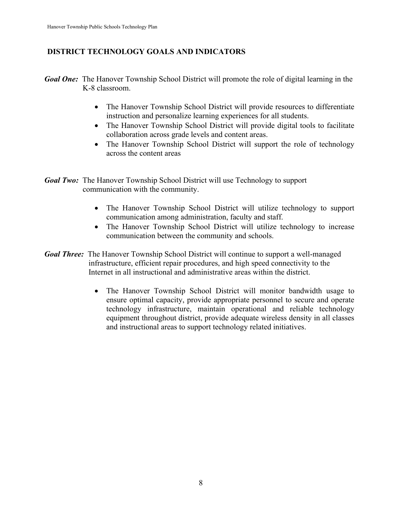#### **DISTRICT TECHNOLOGY GOALS AND INDICATORS**

- *Goal One:* The Hanover Township School District will promote the role of digital learning in the K-8 classroom.
	- The Hanover Township School District will provide resources to differentiate instruction and personalize learning experiences for all students.
	- The Hanover Township School District will provide digital tools to facilitate collaboration across grade levels and content areas.
	- The Hanover Township School District will support the role of technology across the content areas
- *Goal Two:* The Hanover Township School District will use Technology to support communication with the community.
	- The Hanover Township School District will utilize technology to support communication among administration, faculty and staff.
	- The Hanover Township School District will utilize technology to increase communication between the community and schools.
- *Goal Three:* The Hanover Township School District will continue to support a well-managed infrastructure, efficient repair procedures, and high speed connectivity to the Internet in all instructional and administrative areas within the district.
	- The Hanover Township School District will monitor bandwidth usage to ensure optimal capacity, provide appropriate personnel to secure and operate technology infrastructure, maintain operational and reliable technology equipment throughout district, provide adequate wireless density in all classes and instructional areas to support technology related initiatives.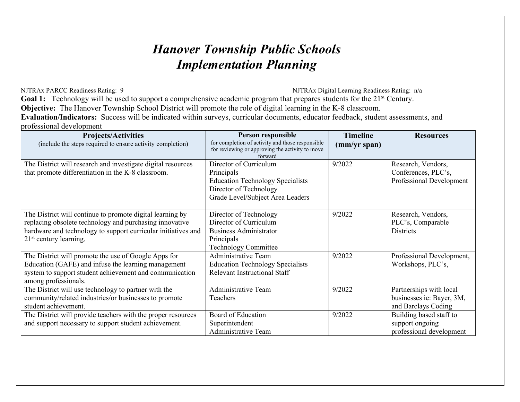### *Hanover Township Public Schools Implementation Planning*

NJTRAx PARCC Readiness Rating: 9 NJTRAx Digital Learning Readiness Rating: n/a **Goal 1:** Technology will be used to support a comprehensive academic program that prepares students for the 21<sup>st</sup> Century. **Objective:** The Hanover Township School District will promote the role of digital learning in the K-8 classroom. **Evaluation/Indicators:** Success will be indicated within surveys, curricular documents, educator feedback, student assessments, and professional development

| <b>Projects/Activities</b>                                    | Person responsible                                                                                  | <b>Timeline</b> | <b>Resources</b>          |
|---------------------------------------------------------------|-----------------------------------------------------------------------------------------------------|-----------------|---------------------------|
| (include the steps required to ensure activity completion)    | for completion of activity and those responsible<br>for reviewing or approving the activity to move | (mm/yr span)    |                           |
|                                                               | forward                                                                                             |                 |                           |
| The District will research and investigate digital resources  | Director of Curriculum                                                                              | 9/2022          | Research, Vendors,        |
| that promote differentiation in the K-8 classroom.            | Principals                                                                                          |                 | Conferences, PLC's,       |
|                                                               | <b>Education Technology Specialists</b>                                                             |                 | Professional Development  |
|                                                               | Director of Technology                                                                              |                 |                           |
|                                                               | Grade Level/Subject Area Leaders                                                                    |                 |                           |
|                                                               |                                                                                                     |                 |                           |
| The District will continue to promote digital learning by     | Director of Technology                                                                              | 9/2022          | Research, Vendors,        |
| replacing obsolete technology and purchasing innovative       | Director of Curriculum                                                                              |                 | PLC's, Comparable         |
| hardware and technology to support curricular initiatives and | <b>Business Administrator</b>                                                                       |                 | <b>Districts</b>          |
| $21st$ century learning.                                      | Principals                                                                                          |                 |                           |
|                                                               | <b>Technology Committee</b>                                                                         |                 |                           |
| The District will promote the use of Google Apps for          | Administrative Team                                                                                 | 9/2022          | Professional Development, |
| Education (GAFE) and infuse the learning management           | <b>Education Technology Specialists</b>                                                             |                 | Workshops, PLC's,         |
| system to support student achievement and communication       | <b>Relevant Instructional Staff</b>                                                                 |                 |                           |
| among professionals.                                          |                                                                                                     |                 |                           |
| The District will use technology to partner with the          | <b>Administrative Team</b>                                                                          | 9/2022          | Partnerships with local   |
| community/related industries/or businesses to promote         | Teachers                                                                                            |                 | businesses ie: Bayer, 3M, |
| student achievement.                                          |                                                                                                     |                 | and Barclays Coding       |
| The District will provide teachers with the proper resources  | Board of Education                                                                                  | 9/2022          | Building based staff to   |
| and support necessary to support student achievement.         | Superintendent                                                                                      |                 | support ongoing           |
|                                                               | Administrative Team                                                                                 |                 | professional development  |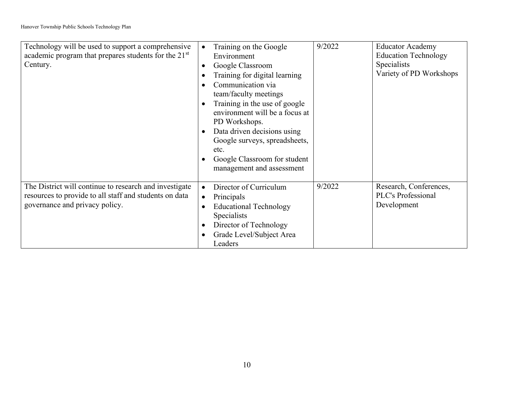| Technology will be used to support a comprehensive<br>academic program that prepares students for the 21 <sup>st</sup><br>Century.                 | $\bullet$<br>$\bullet$<br>$\bullet$<br>$\bullet$<br>$\bullet$ | Training on the Google<br>Environment<br>Google Classroom<br>Training for digital learning<br>Communication via<br>team/faculty meetings<br>Training in the use of google<br>environment will be a focus at<br>PD Workshops.<br>Data driven decisions using<br>Google surveys, spreadsheets,<br>etc.<br>Google Classroom for student<br>management and assessment | 9/2022 | <b>Educator Academy</b><br><b>Education Technology</b><br>Specialists<br>Variety of PD Workshops |
|----------------------------------------------------------------------------------------------------------------------------------------------------|---------------------------------------------------------------|-------------------------------------------------------------------------------------------------------------------------------------------------------------------------------------------------------------------------------------------------------------------------------------------------------------------------------------------------------------------|--------|--------------------------------------------------------------------------------------------------|
| The District will continue to research and investigate<br>resources to provide to all staff and students on data<br>governance and privacy policy. | $\bullet$<br>$\bullet$<br>$\bullet$<br>$\bullet$              | Director of Curriculum<br>Principals<br><b>Educational Technology</b><br>Specialists<br>Director of Technology<br>Grade Level/Subject Area<br>Leaders                                                                                                                                                                                                             | 9/2022 | Research, Conferences,<br>PLC's Professional<br>Development                                      |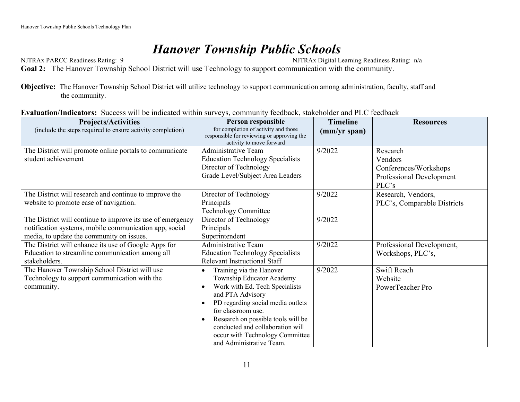### *Hanover Township Public Schools*

NJTRAx PARCC Readiness Rating: 9 NJTRAx Digital Learning Readiness Rating: n/a **Goal 2:** The Hanover Township School District will use Technology to support communication with the community.

**Objective:** The Hanover Township School District will utilize technology to support communication among administration, faculty, staff and the community.

|  | Evaluation/Indicators: Success will be indicated within surveys, community feedback, stakeholder and PLC feedback |  |  |  |
|--|-------------------------------------------------------------------------------------------------------------------|--|--|--|
|--|-------------------------------------------------------------------------------------------------------------------|--|--|--|

| <b>Projects/Activities</b>                                                                                                   | Person responsible                                                                                                                                                                                                                                                                                                                                     | <b>Timeline</b> | <b>Resources</b>                           |
|------------------------------------------------------------------------------------------------------------------------------|--------------------------------------------------------------------------------------------------------------------------------------------------------------------------------------------------------------------------------------------------------------------------------------------------------------------------------------------------------|-----------------|--------------------------------------------|
| (include the steps required to ensure activity completion)                                                                   | for completion of activity and those<br>responsible for reviewing or approving the<br>activity to move forward                                                                                                                                                                                                                                         | (mm/yr span)    |                                            |
| The District will promote online portals to communicate                                                                      | Administrative Team                                                                                                                                                                                                                                                                                                                                    | 9/2022          | Research                                   |
| student achievement                                                                                                          | <b>Education Technology Specialists</b>                                                                                                                                                                                                                                                                                                                |                 | Vendors                                    |
|                                                                                                                              | Director of Technology                                                                                                                                                                                                                                                                                                                                 |                 | Conferences/Workshops                      |
|                                                                                                                              | Grade Level/Subject Area Leaders                                                                                                                                                                                                                                                                                                                       |                 | Professional Development                   |
|                                                                                                                              |                                                                                                                                                                                                                                                                                                                                                        |                 | PLC's                                      |
| The District will research and continue to improve the                                                                       | Director of Technology                                                                                                                                                                                                                                                                                                                                 | 9/2022          | Research, Vendors,                         |
| website to promote ease of navigation.                                                                                       | Principals                                                                                                                                                                                                                                                                                                                                             |                 | PLC's, Comparable Districts                |
|                                                                                                                              | <b>Technology Committee</b>                                                                                                                                                                                                                                                                                                                            |                 |                                            |
| The District will continue to improve its use of emergency                                                                   | Director of Technology                                                                                                                                                                                                                                                                                                                                 | 9/2022          |                                            |
| notification systems, mobile communication app, social                                                                       | Principals                                                                                                                                                                                                                                                                                                                                             |                 |                                            |
| media, to update the community on issues.                                                                                    | Superintendent                                                                                                                                                                                                                                                                                                                                         |                 |                                            |
| The District will enhance its use of Google Apps for                                                                         | <b>Administrative Team</b>                                                                                                                                                                                                                                                                                                                             | 9/2022          | Professional Development,                  |
| Education to streamline communication among all                                                                              | <b>Education Technology Specialists</b>                                                                                                                                                                                                                                                                                                                |                 | Workshops, PLC's,                          |
|                                                                                                                              |                                                                                                                                                                                                                                                                                                                                                        |                 |                                            |
|                                                                                                                              |                                                                                                                                                                                                                                                                                                                                                        |                 |                                            |
|                                                                                                                              |                                                                                                                                                                                                                                                                                                                                                        |                 |                                            |
|                                                                                                                              |                                                                                                                                                                                                                                                                                                                                                        |                 |                                            |
|                                                                                                                              |                                                                                                                                                                                                                                                                                                                                                        |                 |                                            |
|                                                                                                                              |                                                                                                                                                                                                                                                                                                                                                        |                 |                                            |
|                                                                                                                              |                                                                                                                                                                                                                                                                                                                                                        |                 |                                            |
|                                                                                                                              |                                                                                                                                                                                                                                                                                                                                                        |                 |                                            |
|                                                                                                                              |                                                                                                                                                                                                                                                                                                                                                        |                 |                                            |
|                                                                                                                              |                                                                                                                                                                                                                                                                                                                                                        |                 |                                            |
| stakeholders.<br>The Hanover Township School District will use<br>Technology to support communication with the<br>community. | <b>Relevant Instructional Staff</b><br>Training via the Hanover<br>Township Educator Academy<br>Work with Ed. Tech Specialists<br>and PTA Advisory<br>PD regarding social media outlets<br>for classroom use.<br>Research on possible tools will be<br>conducted and collaboration will<br>occur with Technology Committee<br>and Administrative Team. | 9/2022          | Swift Reach<br>Website<br>PowerTeacher Pro |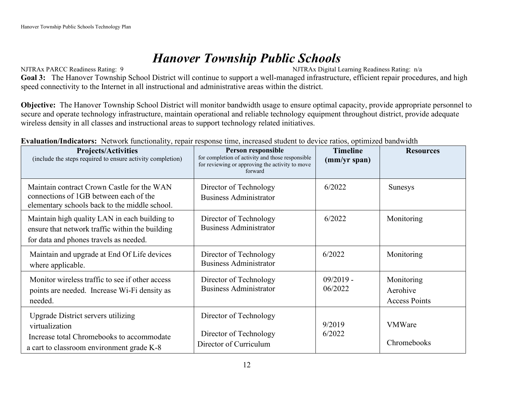### *Hanover Township Public Schools*

NJTRAx PARCC Readiness Rating: 9 NJTRAx Digital Learning Readiness Rating: n/a

Goal 3: The Hanover Township School District will continue to support a well-managed infrastructure, efficient repair procedures, and high speed connectivity to the Internet in all instructional and administrative areas within the district.

**Objective:** The Hanover Township School District will monitor bandwidth usage to ensure optimal capacity, provide appropriate personnel to secure and operate technology infrastructure, maintain operational and reliable technology equipment throughout district, provide adequate wireless density in all classes and instructional areas to support technology related initiatives.

| <b>Projects/Activities</b><br>(include the steps required to ensure activity completion)                                                       | Person responsible<br>for completion of activity and those responsible<br>for reviewing or approving the activity to move<br>forward | <b>Timeline</b><br>(mm/yr span) | <b>Resources</b>                               |
|------------------------------------------------------------------------------------------------------------------------------------------------|--------------------------------------------------------------------------------------------------------------------------------------|---------------------------------|------------------------------------------------|
| Maintain contract Crown Castle for the WAN<br>connections of 1GB between each of the<br>elementary schools back to the middle school.          | Director of Technology<br><b>Business Administrator</b>                                                                              | 6/2022                          | <b>Sunesys</b>                                 |
| Maintain high quality LAN in each building to<br>ensure that network traffic within the building<br>for data and phones travels as needed.     | Director of Technology<br><b>Business Administrator</b>                                                                              | 6/2022                          | Monitoring                                     |
| Maintain and upgrade at End Of Life devices<br>where applicable.                                                                               | Director of Technology<br><b>Business Administrator</b>                                                                              | 6/2022                          | Monitoring                                     |
| Monitor wireless traffic to see if other access<br>points are needed. Increase Wi-Fi density as<br>needed.                                     | Director of Technology<br><b>Business Administrator</b>                                                                              | $09/2019 -$<br>06/2022          | Monitoring<br>Aerohive<br><b>Access Points</b> |
| Upgrade District servers utilizing<br>virtualization<br>Increase total Chromebooks to accommodate<br>a cart to classroom environment grade K-8 | Director of Technology<br>Director of Technology<br>Director of Curriculum                                                           | 9/2019<br>6/2022                | <b>VMWare</b><br>Chromebooks                   |

**Evaluation/Indicators:** Network functionality, repair response time, increased student to device ratios, optimized bandwidth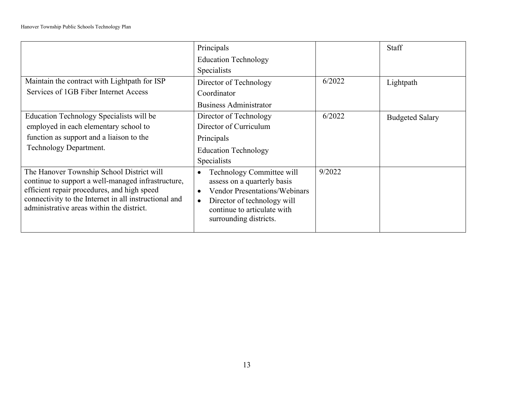|                                                                                                                                                                                                                                                      | Principals                                                                                                                                                                                                                      |        | Staff                  |
|------------------------------------------------------------------------------------------------------------------------------------------------------------------------------------------------------------------------------------------------------|---------------------------------------------------------------------------------------------------------------------------------------------------------------------------------------------------------------------------------|--------|------------------------|
|                                                                                                                                                                                                                                                      | <b>Education Technology</b>                                                                                                                                                                                                     |        |                        |
|                                                                                                                                                                                                                                                      | <b>Specialists</b>                                                                                                                                                                                                              |        |                        |
| Maintain the contract with Lightpath for ISP                                                                                                                                                                                                         | Director of Technology                                                                                                                                                                                                          | 6/2022 | Lightpath              |
| Services of 1GB Fiber Internet Access                                                                                                                                                                                                                | Coordinator                                                                                                                                                                                                                     |        |                        |
|                                                                                                                                                                                                                                                      | <b>Business Administrator</b>                                                                                                                                                                                                   |        |                        |
| Education Technology Specialists will be                                                                                                                                                                                                             | Director of Technology                                                                                                                                                                                                          | 6/2022 | <b>Budgeted Salary</b> |
| employed in each elementary school to                                                                                                                                                                                                                | Director of Curriculum                                                                                                                                                                                                          |        |                        |
| function as support and a liaison to the                                                                                                                                                                                                             | Principals                                                                                                                                                                                                                      |        |                        |
| Technology Department.                                                                                                                                                                                                                               | <b>Education Technology</b>                                                                                                                                                                                                     |        |                        |
|                                                                                                                                                                                                                                                      | Specialists                                                                                                                                                                                                                     |        |                        |
| The Hanover Township School District will<br>continue to support a well-managed infrastructure,<br>efficient repair procedures, and high speed<br>connectivity to the Internet in all instructional and<br>administrative areas within the district. | Technology Committee will<br>$\bullet$<br>assess on a quarterly basis<br><b>Vendor Presentations/Webinars</b><br>$\bullet$<br>Director of technology will<br>$\bullet$<br>continue to articulate with<br>surrounding districts. | 9/2022 |                        |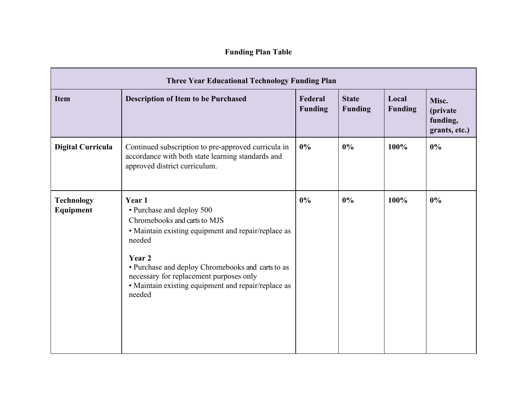| <b>Three Year Educational Technology Funding Plan</b> |                                                                                                                                                                                                                                                                                                                 |                           |                                |                         |                                                |  |
|-------------------------------------------------------|-----------------------------------------------------------------------------------------------------------------------------------------------------------------------------------------------------------------------------------------------------------------------------------------------------------------|---------------------------|--------------------------------|-------------------------|------------------------------------------------|--|
| <b>Item</b>                                           | <b>Description of Item to be Purchased</b>                                                                                                                                                                                                                                                                      | Federal<br><b>Funding</b> | <b>State</b><br><b>Funding</b> | Local<br><b>Funding</b> | Misc.<br>(private<br>funding,<br>grants, etc.) |  |
| <b>Digital Curricula</b>                              | Continued subscription to pre-approved curricula in<br>accordance with both state learning standards and<br>approved district curriculum.                                                                                                                                                                       | 0%                        | 0%                             | 100%                    | 0%                                             |  |
| <b>Technology</b><br>Equipment                        | Year 1<br>• Purchase and deploy 500<br>Chromebooks and carts to MJS<br>• Maintain existing equipment and repair/replace as<br>needed<br>Year 2<br>• Purchase and deploy Chromebooks and carts to as<br>necessary for replacement purposes only<br>• Maintain existing equipment and repair/replace as<br>needed | 0%                        | 0%                             | 100%                    | $0\%$                                          |  |